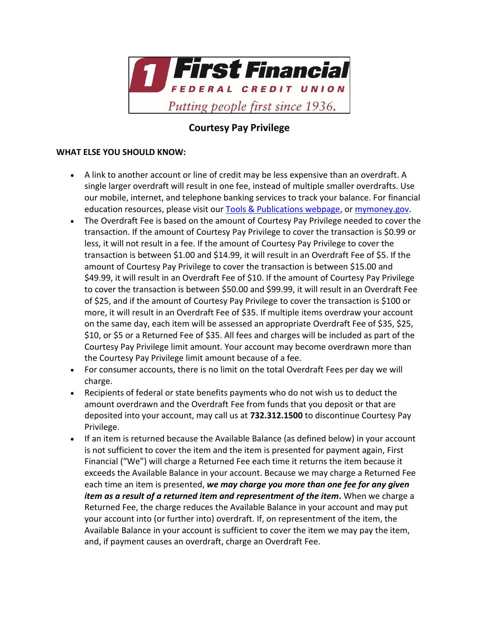

## **Courtesy Pay Privilege**

## **WHAT ELSE YOU SHOULD KNOW:**

- A link to another account or line of credit may be less expensive than an overdraft. A single larger overdraft will result in one fee, instead of multiple smaller overdrafts. Use our mobile, internet, and telephone banking services to track your balance. For financial education resources, please visit ou[r Tools & Publications webpage,](/credit-union-info/tools-and-publications) o[r mymoney.gov.](https://www.mymoney.gov/)
- The Overdraft Fee is based on the amount of Courtesy Pay Privilege needed to cover the transaction. If the amount of Courtesy Pay Privilege to cover the transaction is \$0.99 or less, it will not result in a fee. If the amount of Courtesy Pay Privilege to cover the transaction is between \$1.00 and \$14.99, it will result in an Overdraft Fee of \$5. If the amount of Courtesy Pay Privilege to cover the transaction is between \$15.00 and \$49.99, it will result in an Overdraft Fee of \$10. If the amount of Courtesy Pay Privilege to cover the transaction is between \$50.00 and \$99.99, it will result in an Overdraft Fee of \$25, and if the amount of Courtesy Pay Privilege to cover the transaction is \$100 or more, it will result in an Overdraft Fee of \$35. If multiple items overdraw your account on the same day, each item will be assessed an appropriate Overdraft Fee of \$35, \$25, \$10, or \$5 or a Returned Fee of \$35. All fees and charges will be included as part of the Courtesy Pay Privilege limit amount. Your account may become overdrawn more than the Courtesy Pay Privilege limit amount because of a fee.
- For consumer accounts, there is no limit on the total Overdraft Fees per day we will charge.
- Recipients of federal or state benefits payments who do not wish us to deduct the amount overdrawn and the Overdraft Fee from funds that you deposit or that are deposited into your account, may call us at **732.312.1500** to discontinue Courtesy Pay Privilege.
- If an item is returned because the Available Balance (as defined below) in your account is not sufficient to cover the item and the item is presented for payment again, First Financial ("We") will charge a Returned Fee each time it returns the item because it exceeds the Available Balance in your account. Because we may charge a Returned Fee each time an item is presented, *we may charge you more than one fee for any given item as a result of a returned item and representment of the item***.** When we charge a Returned Fee, the charge reduces the Available Balance in your account and may put your account into (or further into) overdraft. If, on representment of the item, the Available Balance in your account is sufficient to cover the item we may pay the item, and, if payment causes an overdraft, charge an Overdraft Fee.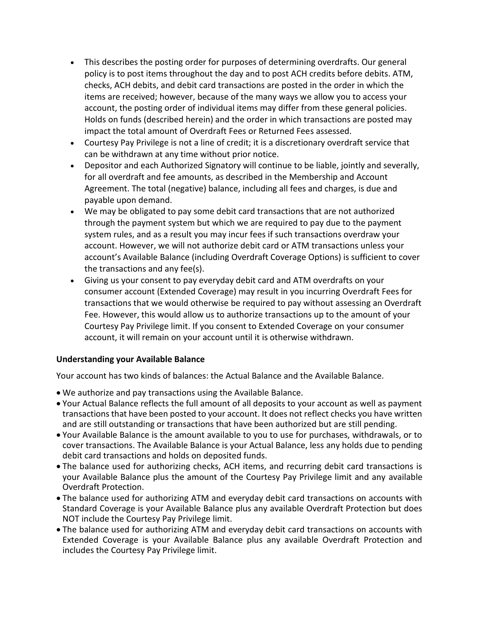- This describes the posting order for purposes of determining overdrafts. Our general policy is to post items throughout the day and to post ACH credits before debits. ATM, checks, ACH debits, and debit card transactions are posted in the order in which the items are received; however, because of the many ways we allow you to access your account, the posting order of individual items may differ from these general policies. Holds on funds (described herein) and the order in which transactions are posted may impact the total amount of Overdraft Fees or Returned Fees assessed.
- Courtesy Pay Privilege is not a line of credit; it is a discretionary overdraft service that can be withdrawn at any time without prior notice.
- Depositor and each Authorized Signatory will continue to be liable, jointly and severally, for all overdraft and fee amounts, as described in the Membership and Account Agreement. The total (negative) balance, including all fees and charges, is due and payable upon demand.
- We may be obligated to pay some debit card transactions that are not authorized through the payment system but which we are required to pay due to the payment system rules, and as a result you may incur fees if such transactions overdraw your account. However, we will not authorize debit card or ATM transactions unless your account's Available Balance (including Overdraft Coverage Options) is sufficient to cover the transactions and any fee(s).
- Giving us your consent to pay everyday debit card and ATM overdrafts on your consumer account (Extended Coverage) may result in you incurring Overdraft Fees for transactions that we would otherwise be required to pay without assessing an Overdraft Fee. However, this would allow us to authorize transactions up to the amount of your Courtesy Pay Privilege limit. If you consent to Extended Coverage on your consumer account, it will remain on your account until it is otherwise withdrawn.

## **Understanding your Available Balance**

Your account has two kinds of balances: the Actual Balance and the Available Balance.

- We authorize and pay transactions using the Available Balance.
- Your Actual Balance reflects the full amount of all deposits to your account as well as payment transactions that have been posted to your account. It does not reflect checks you have written and are still outstanding or transactions that have been authorized but are still pending.
- Your Available Balance is the amount available to you to use for purchases, withdrawals, or to cover transactions. The Available Balance is your Actual Balance, less any holds due to pending debit card transactions and holds on deposited funds.
- The balance used for authorizing checks, ACH items, and recurring debit card transactions is your Available Balance plus the amount of the Courtesy Pay Privilege limit and any available Overdraft Protection.
- The balance used for authorizing ATM and everyday debit card transactions on accounts with Standard Coverage is your Available Balance plus any available Overdraft Protection but does NOT include the Courtesy Pay Privilege limit.
- The balance used for authorizing ATM and everyday debit card transactions on accounts with Extended Coverage is your Available Balance plus any available Overdraft Protection and includes the Courtesy Pay Privilege limit.